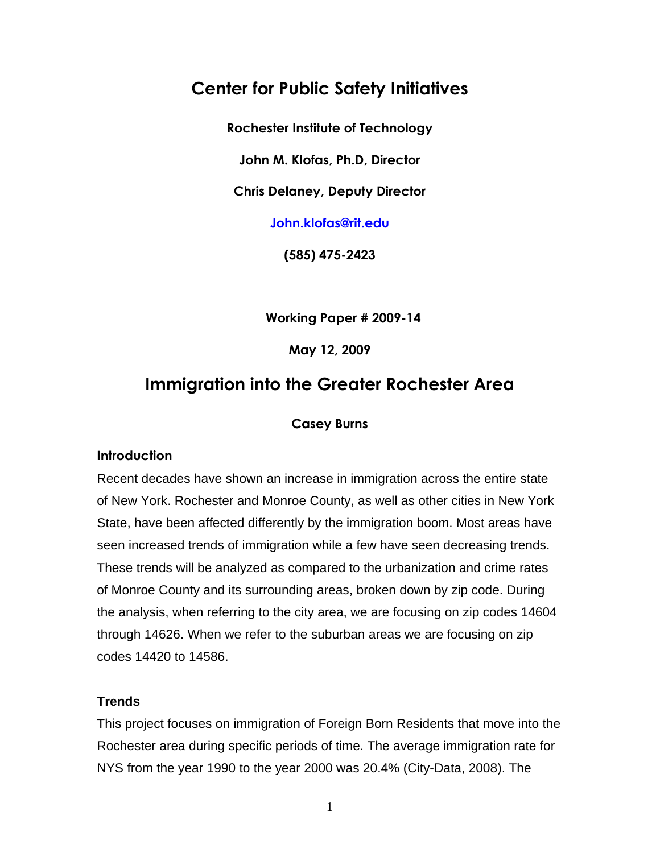# **Center for Public Safety Initiatives**

**Rochester Institute of Technology** 

**John M. Klofas, Ph.D, Director** 

**Chris Delaney, Deputy Director** 

**John.klofas@rit.edu** 

**(585) 475-2423** 

**Working Paper # 2009-14** 

**May 12, 2009** 

# **Immigration into the Greater Rochester Area**

## **Casey Burns**

## **Introduction**

Recent decades have shown an increase in immigration across the entire state of New York. Rochester and Monroe County, as well as other cities in New York State, have been affected differently by the immigration boom. Most areas have seen increased trends of immigration while a few have seen decreasing trends. These trends will be analyzed as compared to the urbanization and crime rates of Monroe County and its surrounding areas, broken down by zip code. During the analysis, when referring to the city area, we are focusing on zip codes 14604 through 14626. When we refer to the suburban areas we are focusing on zip codes 14420 to 14586.

## **Trends**

This project focuses on immigration of Foreign Born Residents that move into the Rochester area during specific periods of time. The average immigration rate for NYS from the year 1990 to the year 2000 was 20.4% (City-Data, 2008). The

1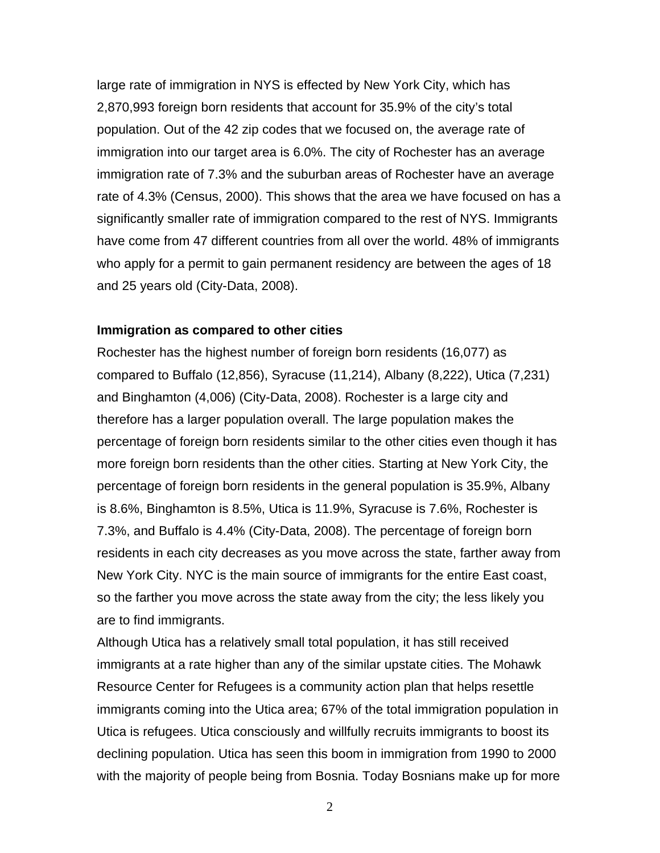large rate of immigration in NYS is effected by New York City, which has 2,870,993 foreign born residents that account for 35.9% of the city's total population. Out of the 42 zip codes that we focused on, the average rate of immigration into our target area is 6.0%. The city of Rochester has an average immigration rate of 7.3% and the suburban areas of Rochester have an average rate of 4.3% (Census, 2000). This shows that the area we have focused on has a significantly smaller rate of immigration compared to the rest of NYS. Immigrants have come from 47 different countries from all over the world. 48% of immigrants who apply for a permit to gain permanent residency are between the ages of 18 and 25 years old (City-Data, 2008).

#### **Immigration as compared to other cities**

Rochester has the highest number of foreign born residents (16,077) as compared to Buffalo (12,856), Syracuse (11,214), Albany (8,222), Utica (7,231) and Binghamton (4,006) (City-Data, 2008). Rochester is a large city and therefore has a larger population overall. The large population makes the percentage of foreign born residents similar to the other cities even though it has more foreign born residents than the other cities. Starting at New York City, the percentage of foreign born residents in the general population is 35.9%, Albany is 8.6%, Binghamton is 8.5%, Utica is 11.9%, Syracuse is 7.6%, Rochester is 7.3%, and Buffalo is 4.4% (City-Data, 2008). The percentage of foreign born residents in each city decreases as you move across the state, farther away from New York City. NYC is the main source of immigrants for the entire East coast, so the farther you move across the state away from the city; the less likely you are to find immigrants.

Although Utica has a relatively small total population, it has still received immigrants at a rate higher than any of the similar upstate cities. The Mohawk Resource Center for Refugees is a community action plan that helps resettle immigrants coming into the Utica area; 67% of the total immigration population in Utica is refugees. Utica consciously and willfully recruits immigrants to boost its declining population. Utica has seen this boom in immigration from 1990 to 2000 with the majority of people being from Bosnia. Today Bosnians make up for more

2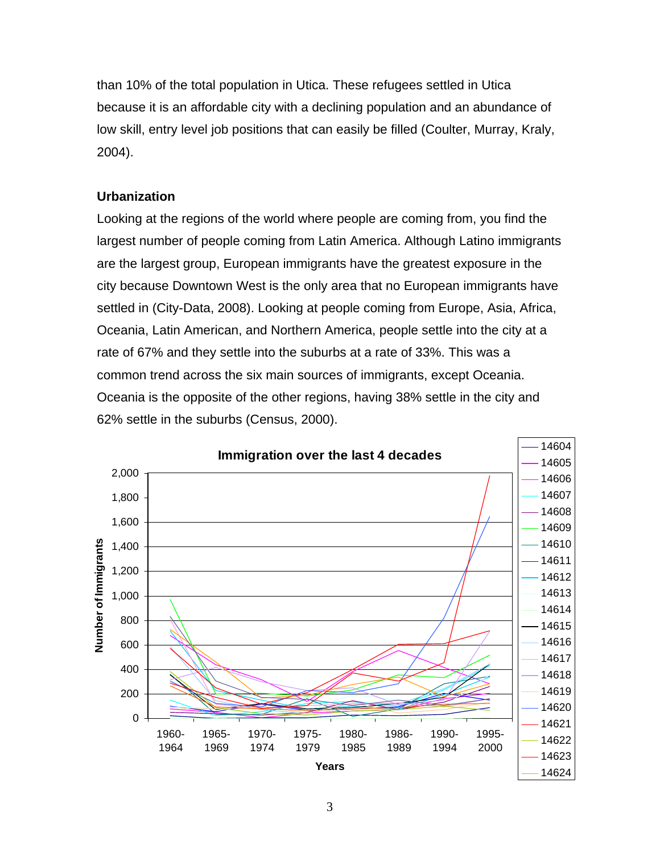than 10% of the total population in Utica. These refugees settled in Utica because it is an affordable city with a declining population and an abundance of low skill, entry level job positions that can easily be filled (Coulter, Murray, Kraly, 2004).

# **Urbanization**

Looking at the regions of the world where people are coming from, you find the largest number of people coming from Latin America. Although Latino immigrants are the largest group, European immigrants have the greatest exposure in the city because Downtown West is the only area that no European immigrants have settled in (City-Data, 2008). Looking at people coming from Europe, Asia, Africa, Oceania, Latin American, and Northern America, people settle into the city at a rate of 67% and they settle into the suburbs at a rate of 33%. This was a common trend across the six main sources of immigrants, except Oceania. Oceania is the opposite of the other regions, having 38% settle in the city and 62% settle in the suburbs (Census, 2000).

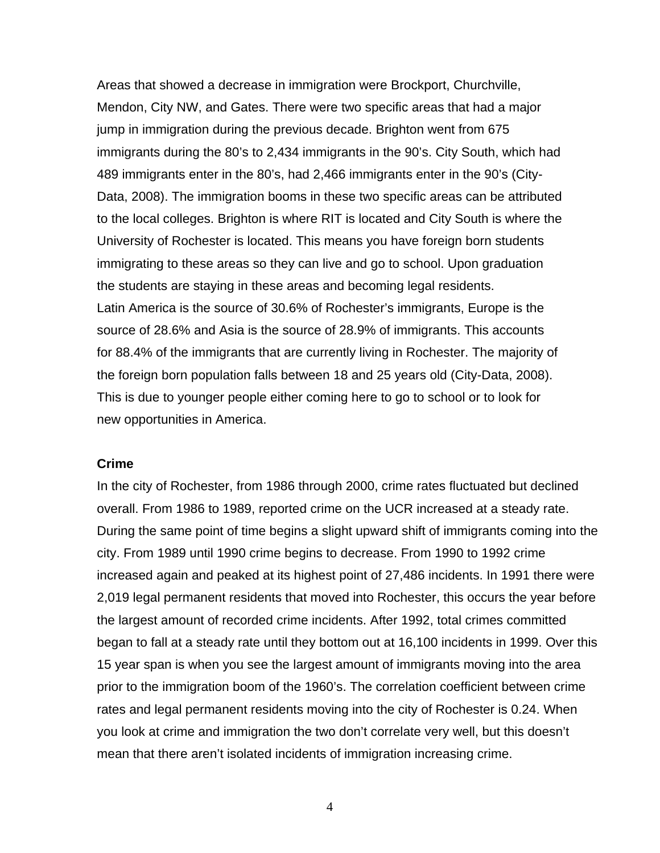Areas that showed a decrease in immigration were Brockport, Churchville, Mendon, City NW, and Gates. There were two specific areas that had a major jump in immigration during the previous decade. Brighton went from 675 immigrants during the 80's to 2,434 immigrants in the 90's. City South, which had 489 immigrants enter in the 80's, had 2,466 immigrants enter in the 90's (City-Data, 2008). The immigration booms in these two specific areas can be attributed to the local colleges. Brighton is where RIT is located and City South is where the University of Rochester is located. This means you have foreign born students immigrating to these areas so they can live and go to school. Upon graduation the students are staying in these areas and becoming legal residents. Latin America is the source of 30.6% of Rochester's immigrants, Europe is the source of 28.6% and Asia is the source of 28.9% of immigrants. This accounts for 88.4% of the immigrants that are currently living in Rochester. The majority of the foreign born population falls between 18 and 25 years old (City-Data, 2008). This is due to younger people either coming here to go to school or to look for new opportunities in America.

### **Crime**

In the city of Rochester, from 1986 through 2000, crime rates fluctuated but declined overall. From 1986 to 1989, reported crime on the UCR increased at a steady rate. During the same point of time begins a slight upward shift of immigrants coming into the city. From 1989 until 1990 crime begins to decrease. From 1990 to 1992 crime increased again and peaked at its highest point of 27,486 incidents. In 1991 there were 2,019 legal permanent residents that moved into Rochester, this occurs the year before the largest amount of recorded crime incidents. After 1992, total crimes committed began to fall at a steady rate until they bottom out at 16,100 incidents in 1999. Over this 15 year span is when you see the largest amount of immigrants moving into the area prior to the immigration boom of the 1960's. The correlation coefficient between crime rates and legal permanent residents moving into the city of Rochester is 0.24. When you look at crime and immigration the two don't correlate very well, but this doesn't mean that there aren't isolated incidents of immigration increasing crime.

4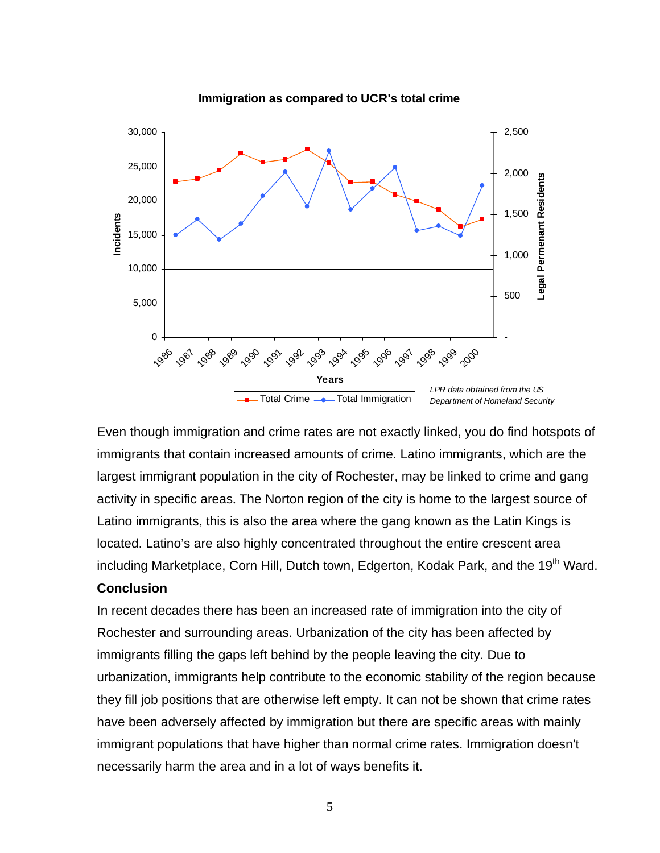

**Immigration as compared to UCR's total crime** 

Even though immigration and crime rates are not exactly linked, you do find hotspots of immigrants that contain increased amounts of crime. Latino immigrants, which are the largest immigrant population in the city of Rochester, may be linked to crime and gang activity in specific areas. The Norton region of the city is home to the largest source of Latino immigrants, this is also the area where the gang known as the Latin Kings is located. Latino's are also highly concentrated throughout the entire crescent area including Marketplace, Corn Hill, Dutch town, Edgerton, Kodak Park, and the 19<sup>th</sup> Ward.

# **Conclusion**

In recent decades there has been an increased rate of immigration into the city of Rochester and surrounding areas. Urbanization of the city has been affected by immigrants filling the gaps left behind by the people leaving the city. Due to urbanization, immigrants help contribute to the economic stability of the region because they fill job positions that are otherwise left empty. It can not be shown that crime rates have been adversely affected by immigration but there are specific areas with mainly immigrant populations that have higher than normal crime rates. Immigration doesn't necessarily harm the area and in a lot of ways benefits it.